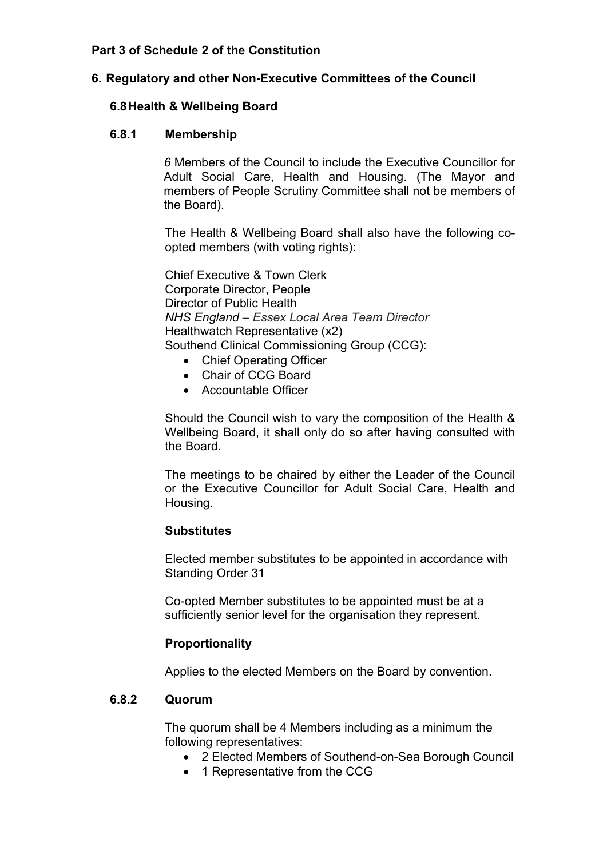### **Part 3 of Schedule 2 of the Constitution**

#### **6. Regulatory and other Non-Executive Committees of the Council**

#### **6.8Health & Wellbeing Board**

#### **6.8.1 Membership**

*6* Members of the Council to include the Executive Councillor for Adult Social Care, Health and Housing. (The Mayor and members of People Scrutiny Committee shall not be members of the Board).

The Health & Wellbeing Board shall also have the following coopted members (with voting rights):

Chief Executive & Town Clerk Corporate Director, People Director of Public Health *NHS England – Essex Local Area Team Director* Healthwatch Representative (x2) Southend Clinical Commissioning Group (CCG):

- Chief Operating Officer
- Chair of CCG Board
- Accountable Officer

Should the Council wish to vary the composition of the Health & Wellbeing Board, it shall only do so after having consulted with the Board.

The meetings to be chaired by either the Leader of the Council or the Executive Councillor for Adult Social Care, Health and Housing.

#### **Substitutes**

Elected member substitutes to be appointed in accordance with Standing Order 31

Co-opted Member substitutes to be appointed must be at a sufficiently senior level for the organisation they represent.

#### **Proportionality**

Applies to the elected Members on the Board by convention.

#### **6.8.2 Quorum**

The quorum shall be 4 Members including as a minimum the following representatives:

- 2 Elected Members of Southend-on-Sea Borough Council
- 1 Representative from the CCG